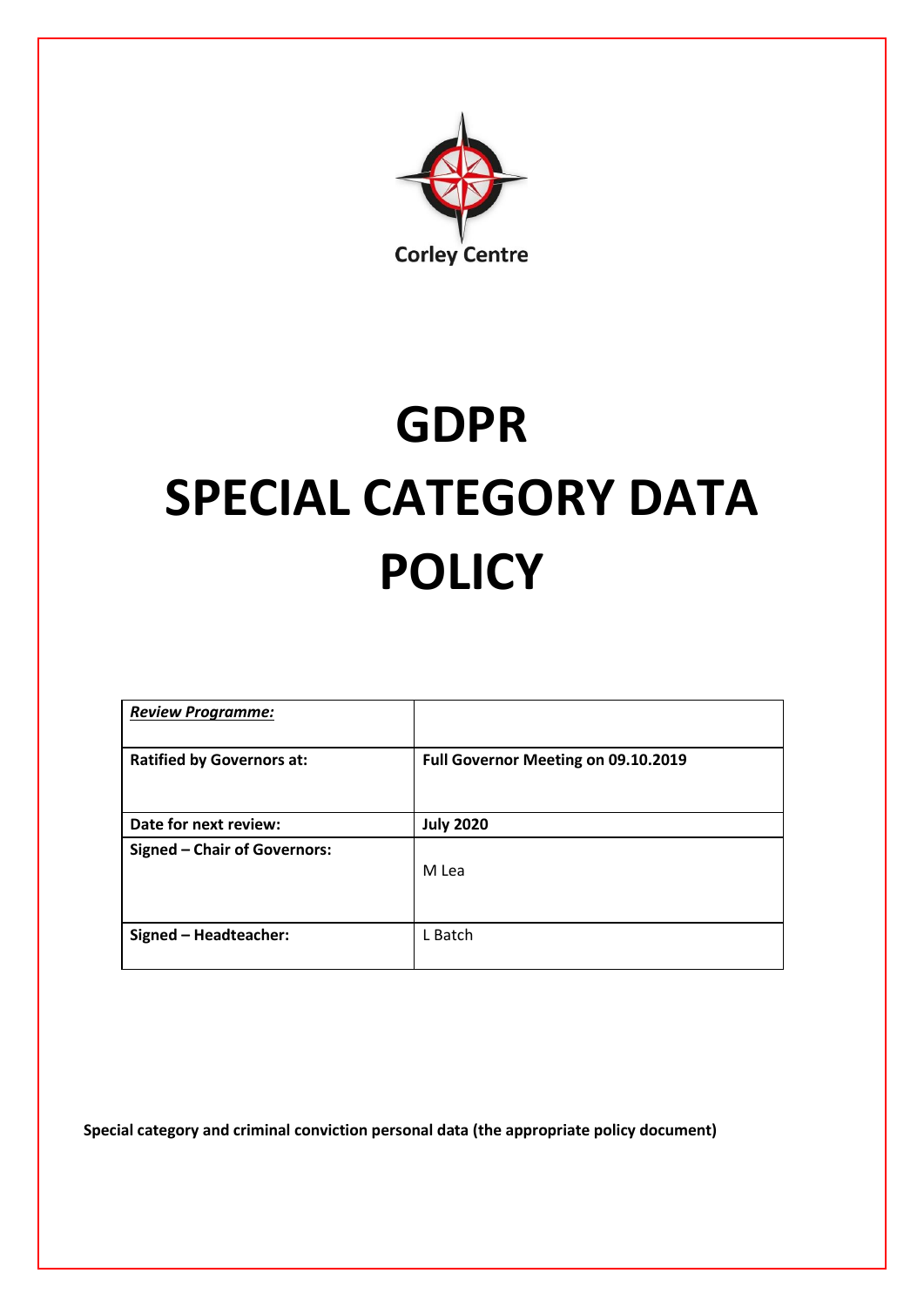

# **GDPR SPECIAL CATEGORY DATA POLICY**

| <b>Review Programme:</b>            |                                     |
|-------------------------------------|-------------------------------------|
| <b>Ratified by Governors at:</b>    | Full Governor Meeting on 09.10.2019 |
| Date for next review:               | <b>July 2020</b>                    |
| <b>Signed - Chair of Governors:</b> | M Lea                               |
| Signed - Headteacher:               | L Batch                             |

**Special category and criminal conviction personal data (the appropriate policy document)**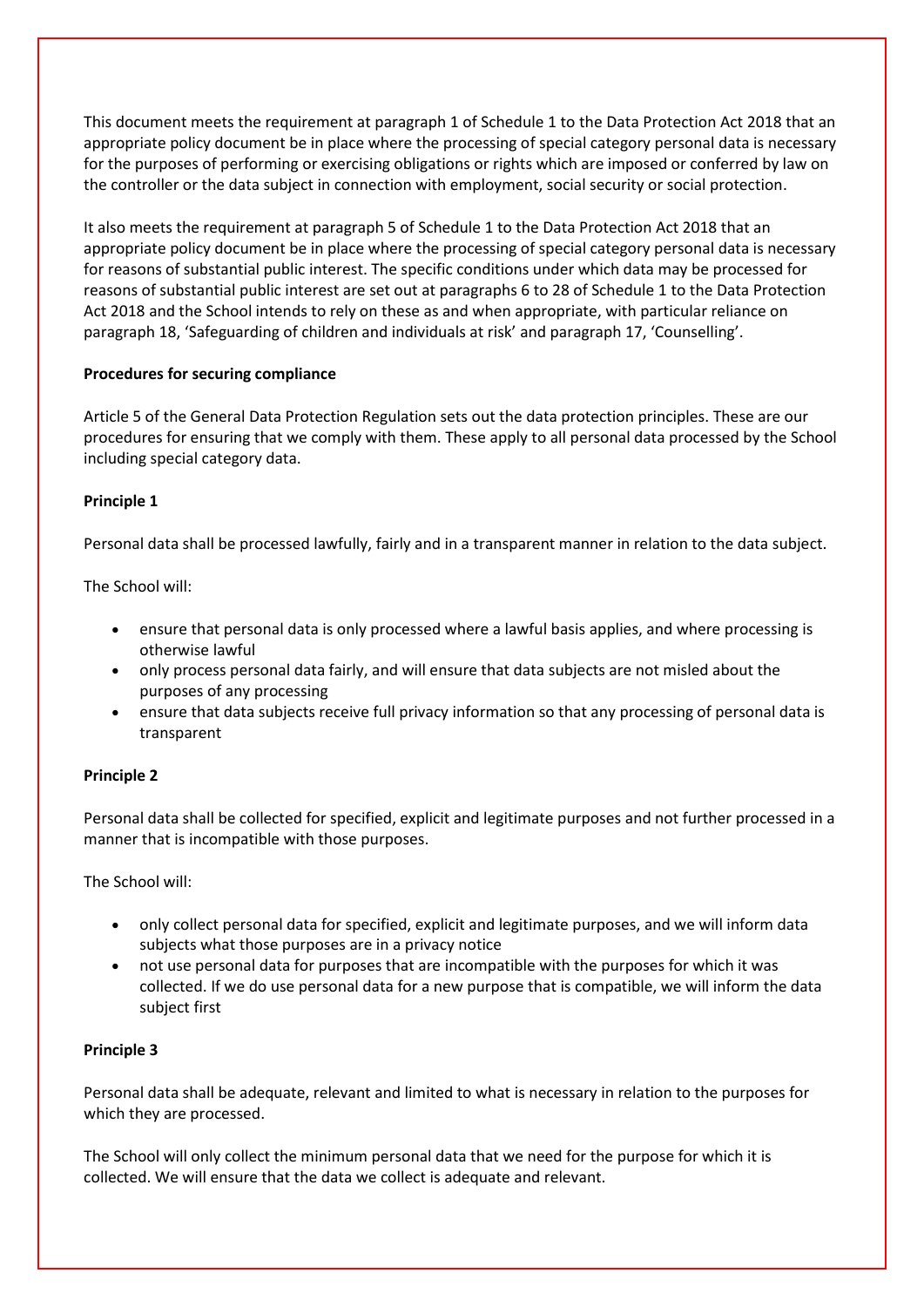This document meets the requirement at paragraph 1 of Schedule 1 to the Data Protection Act 2018 that an appropriate policy document be in place where the processing of special category personal data is necessary for the purposes of performing or exercising obligations or rights which are imposed or conferred by law on the controller or the data subject in connection with employment, social security or social protection.

It also meets the requirement at paragraph 5 of Schedule 1 to the Data Protection Act 2018 that an appropriate policy document be in place where the processing of special category personal data is necessary for reasons of substantial public interest. The specific conditions under which data may be processed for reasons of substantial public interest are set out at paragraphs 6 to 28 of Schedule 1 to the Data Protection Act 2018 and the School intends to rely on these as and when appropriate, with particular reliance on paragraph 18, 'Safeguarding of children and individuals at risk' and paragraph 17, 'Counselling'.

## **Procedures for securing compliance**

Article 5 of the General Data Protection Regulation sets out the data protection principles. These are our procedures for ensuring that we comply with them. These apply to all personal data processed by the School including special category data.

## **Principle 1**

Personal data shall be processed lawfully, fairly and in a transparent manner in relation to the data subject.

The School will:

- ensure that personal data is only processed where a lawful basis applies, and where processing is otherwise lawful
- only process personal data fairly, and will ensure that data subjects are not misled about the purposes of any processing
- ensure that data subjects receive full privacy information so that any processing of personal data is transparent

# **Principle 2**

Personal data shall be collected for specified, explicit and legitimate purposes and not further processed in a manner that is incompatible with those purposes.

The School will:

- only collect personal data for specified, explicit and legitimate purposes, and we will inform data subjects what those purposes are in a privacy notice
- not use personal data for purposes that are incompatible with the purposes for which it was collected. If we do use personal data for a new purpose that is compatible, we will inform the data subject first

#### **Principle 3**

Personal data shall be adequate, relevant and limited to what is necessary in relation to the purposes for which they are processed.

The School will only collect the minimum personal data that we need for the purpose for which it is collected. We will ensure that the data we collect is adequate and relevant.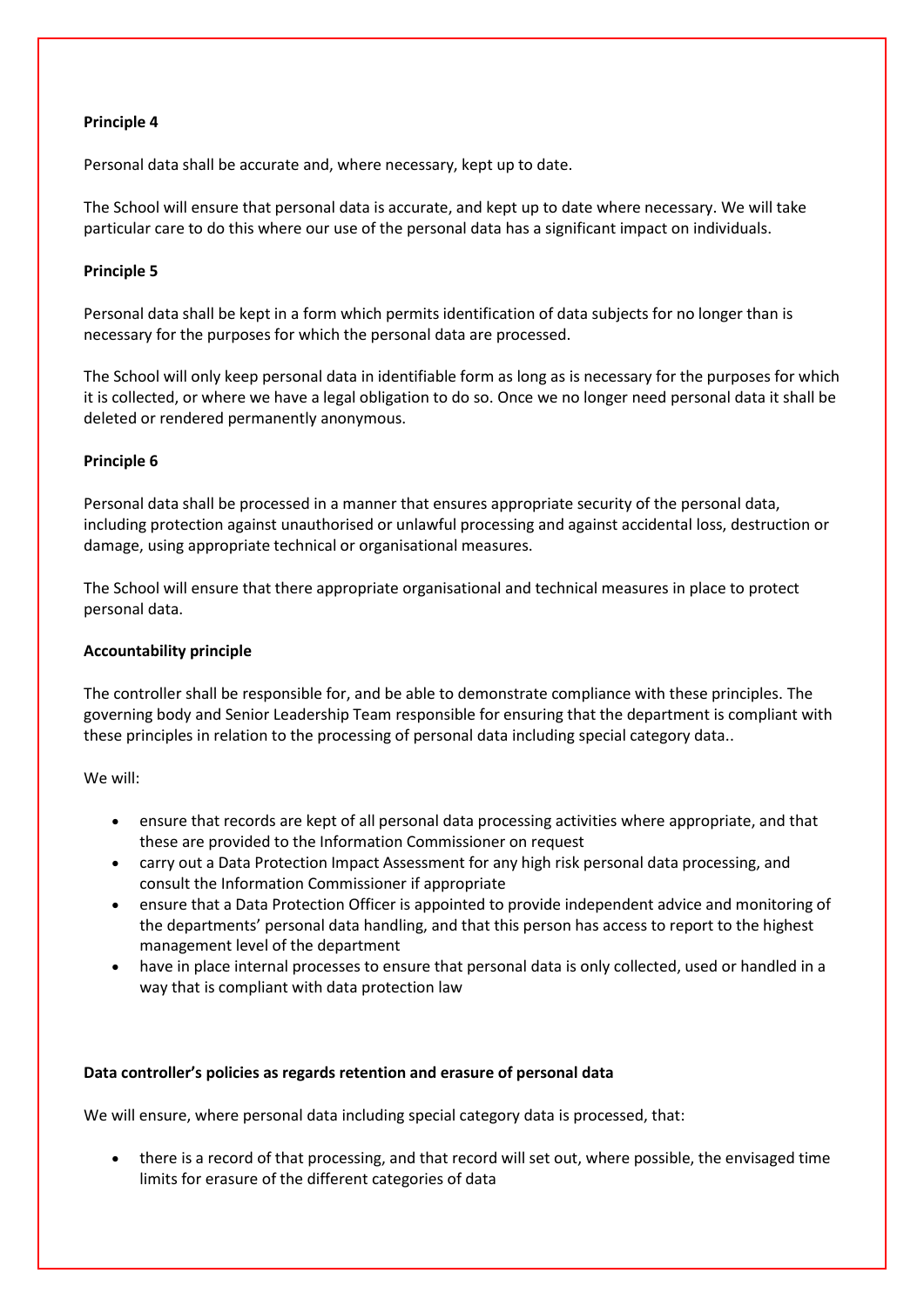#### **Principle 4**

Personal data shall be accurate and, where necessary, kept up to date.

The School will ensure that personal data is accurate, and kept up to date where necessary. We will take particular care to do this where our use of the personal data has a significant impact on individuals.

## **Principle 5**

Personal data shall be kept in a form which permits identification of data subjects for no longer than is necessary for the purposes for which the personal data are processed.

The School will only keep personal data in identifiable form as long as is necessary for the purposes for which it is collected, or where we have a legal obligation to do so. Once we no longer need personal data it shall be deleted or rendered permanently anonymous.

## **Principle 6**

Personal data shall be processed in a manner that ensures appropriate security of the personal data, including protection against unauthorised or unlawful processing and against accidental loss, destruction or damage, using appropriate technical or organisational measures.

The School will ensure that there appropriate organisational and technical measures in place to protect personal data.

#### **Accountability principle**

The controller shall be responsible for, and be able to demonstrate compliance with these principles. The governing body and Senior Leadership Team responsible for ensuring that the department is compliant with these principles in relation to the processing of personal data including special category data..

We will:

- ensure that records are kept of all personal data processing activities where appropriate, and that these are provided to the Information Commissioner on request
- carry out a Data Protection Impact Assessment for any high risk personal data processing, and consult the Information Commissioner if appropriate
- ensure that a Data Protection Officer is appointed to provide independent advice and monitoring of the departments' personal data handling, and that this person has access to report to the highest management level of the department
- have in place internal processes to ensure that personal data is only collected, used or handled in a way that is compliant with data protection law

#### **Data controller's policies as regards retention and erasure of personal data**

We will ensure, where personal data including special category data is processed, that:

 there is a record of that processing, and that record will set out, where possible, the envisaged time limits for erasure of the different categories of data